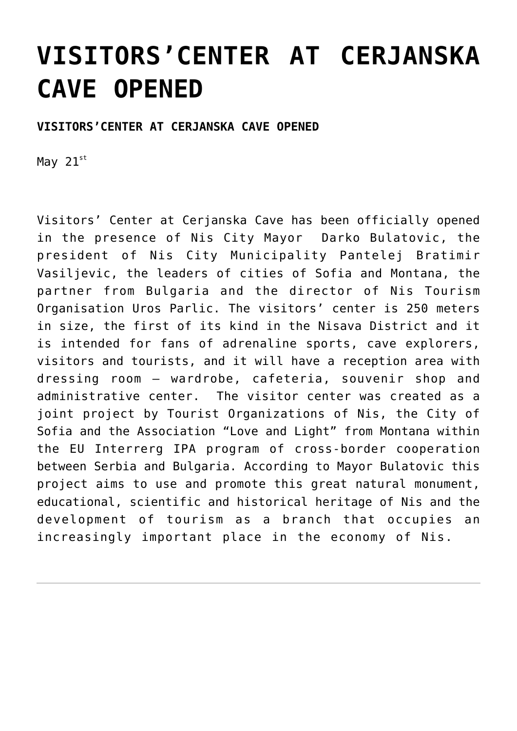### **[VISITORS'CENTER AT CERJANSKA](https://www.gu.ni.rs/2019/05/22/visitors-center-at-cerjanska-cave-opened/) [CAVE OPENED](https://www.gu.ni.rs/2019/05/22/visitors-center-at-cerjanska-cave-opened/)**

#### **VISITORS'CENTER AT CERJANSKA CAVE OPENED**

May  $21^{st}$ 

Visitors' Center at Cerjanska Cave has been officially opened in the presence of Nis City Mayor Darko Bulatovic, the president of Nis City Municipality Pantelej Bratimir Vasiljevic, the leaders of cities of Sofia and Montana, the partner from Bulgaria and the director of Nis Tourism Organisation Uros Parlic. The visitors' center is 250 meters in size, the first of its kind in the Nisava District and it is intended for fans of adrenaline sports, cave explorers, visitors and tourists, and it will have a reception area with dressing room – wardrobe, cafeteria, souvenir shop and administrative center. The visitor center was created as a joint project by Tourist Organizations of Nis, the City of Sofia and the Association "Love and Light" from Montana within the EU Interrerg IPA program of cross-border cooperation between Serbia and Bulgaria. According to Mayor Bulatovic this project aims to use and promote this great natural monument, educational, scientific and historical heritage of Nis and the development of tourism as a branch that occupies an increasingly important place in the economy of Nis.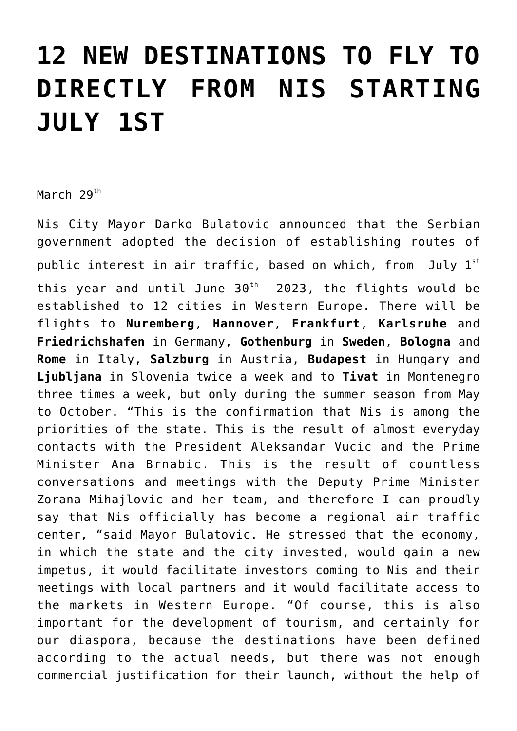## **[12 NEW DESTINATIONS TO FLY TO](https://www.gu.ni.rs/2019/03/29/12-new-destinations-to-fly-to-directly-from-nis-starting-july-1st/) [DIRECTLY FROM NIS STARTING](https://www.gu.ni.rs/2019/03/29/12-new-destinations-to-fly-to-directly-from-nis-starting-july-1st/) [JULY 1ST](https://www.gu.ni.rs/2019/03/29/12-new-destinations-to-fly-to-directly-from-nis-starting-july-1st/)**

March  $29^{th}$ 

Nis City Mayor Darko Bulatovic announced that the Serbian government adopted the decision of establishing routes of public interest in air traffic, based on which, from July 1st this year and until June  $30<sup>th</sup>$  2023, the flights would be established to 12 cities in Western Europe. There will be flights to **Nuremberg**, **Hannover**, **Frankfurt**, **Karlsruhe** and **Friedrichshafen** in Germany, **Gothenburg** in **Sweden**, **Bologna** and **Rome** in Italy, **Salzburg** in Austria, **Budapest** in Hungary and **Ljubljana** in Slovenia twice a week and to **Tivat** in Montenegro three times a week, but only during the summer season from May to October. "This is the confirmation that Nis is among the priorities of the state. This is the result of almost everyday contacts with the President Aleksandar Vucic and the Prime Minister Ana Brnabic. This is the result of countless conversations and meetings with the Deputy Prime Minister Zorana Mihajlovic and her team, and therefore I can proudly say that Nis officially has become a regional air traffic center, "said Mayor Bulatovic. He stressed that the economy, in which the state and the city invested, would gain a new impetus, it would facilitate investors coming to Nis and their meetings with local partners and it would facilitate access to the markets in Western Europe. "Of course, this is also important for the development of tourism, and certainly for our diaspora, because the destinations have been defined according to the actual needs, but there was not enough commercial justification for their launch, without the help of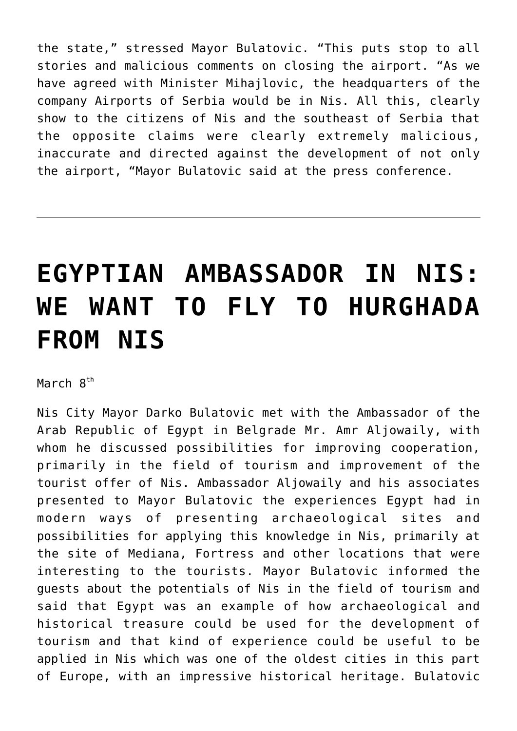the state," stressed Mayor Bulatovic. "This puts stop to all stories and malicious comments on closing the airport. "As we have agreed with Minister Mihajlovic, the headquarters of the company Airports of Serbia would be in Nis. All this, clearly show to the citizens of Nis and the southeast of Serbia that the opposite claims were clearly extremely malicious, inaccurate and directed against the development of not only the airport, "Mayor Bulatovic said at the press conference.

## **[EGYPTIAN AMBASSADOR IN NIS:](https://www.gu.ni.rs/2019/03/08/egyptian-ambassador-in-nis-we-want-to-fly-to-hurghada-from-nis/) [WE WANT TO FLY TO HURGHADA](https://www.gu.ni.rs/2019/03/08/egyptian-ambassador-in-nis-we-want-to-fly-to-hurghada-from-nis/) [FROM NIS](https://www.gu.ni.rs/2019/03/08/egyptian-ambassador-in-nis-we-want-to-fly-to-hurghada-from-nis/)**

March  $R^{th}$ 

Nis City Mayor Darko Bulatovic met with the Ambassador of the Arab Republic of Egypt in Belgrade Mr. Amr Aljowaily, with whom he discussed possibilities for improving cooperation, primarily in the field of tourism and improvement of the tourist offer of Nis. Ambassador Aljowaily and his associates presented to Mayor Bulatovic the experiences Egypt had in modern ways of presenting archaeological sites and possibilities for applying this knowledge in Nis, primarily at the site of Mediana, Fortress and other locations that were interesting to the tourists. Mayor Bulatovic informed the guests about the potentials of Nis in the field of tourism and said that Egypt was an example of how archaeological and historical treasure could be used for the development of tourism and that kind of experience could be useful to be applied in Nis which was one of the oldest cities in this part of Europe, with an impressive historical heritage. Bulatovic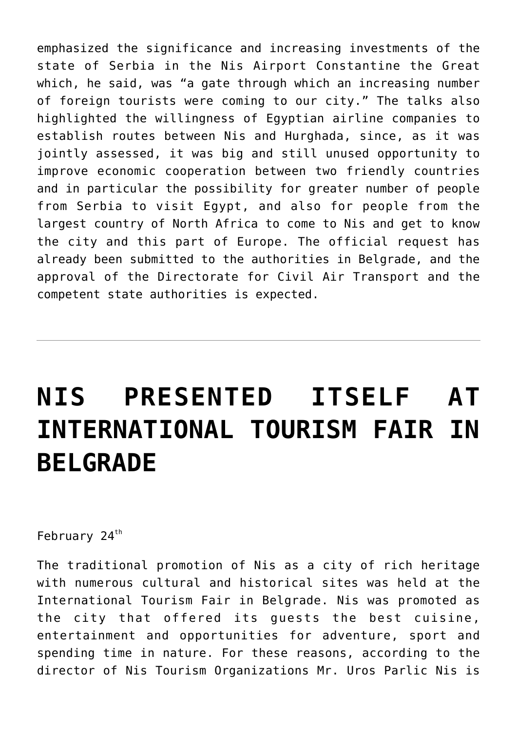emphasized the significance and increasing investments of the state of Serbia in the Nis Airport Constantine the Great which, he said, was "a gate through which an increasing number of foreign tourists were coming to our city." The talks also highlighted the willingness of Egyptian airline companies to establish routes between Nis and Hurghada, since, as it was jointly assessed, it was big and still unused opportunity to improve economic cooperation between two friendly countries and in particular the possibility for greater number of people from Serbia to visit Egypt, and also for people from the largest country of North Africa to come to Nis and get to know the city and this part of Europe. The official request has already been submitted to the authorities in Belgrade, and the approval of the Directorate for Civil Air Transport and the competent state authorities is expected.

# **[NIS PRESENTED ITSELF AT](https://www.gu.ni.rs/2019/02/24/nis-presented-itself-at-international-tourism-fair-in-belgrade/) [INTERNATIONAL TOURISM FAIR IN](https://www.gu.ni.rs/2019/02/24/nis-presented-itself-at-international-tourism-fair-in-belgrade/) [BELGRADE](https://www.gu.ni.rs/2019/02/24/nis-presented-itself-at-international-tourism-fair-in-belgrade/)**

February 24<sup>th</sup>

The traditional promotion of Nis as a city of rich heritage with numerous cultural and historical sites was held at the International Tourism Fair in Belgrade. Nis was promoted as the city that offered its guests the best cuisine, entertainment and opportunities for adventure, sport and spending time in nature. For these reasons, according to the director of Nis Tourism Organizations Mr. Uros Parlic Nis is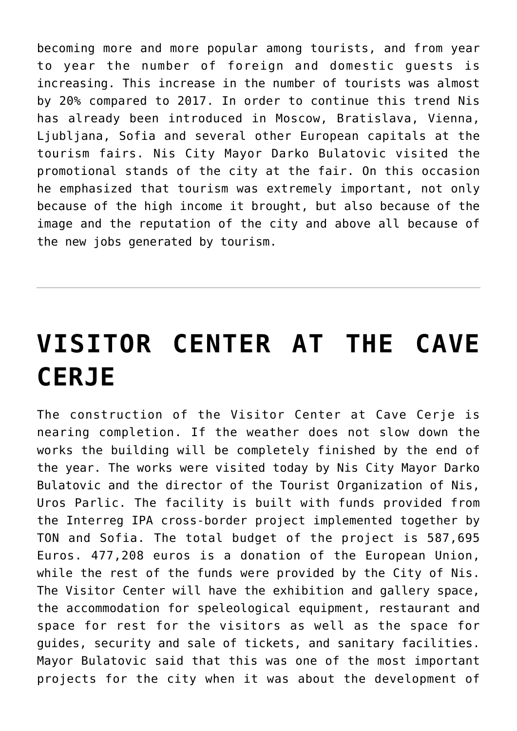becoming more and more popular among tourists, and from year to year the number of foreign and domestic guests is increasing. This increase in the number of tourists was almost by 20% compared to 2017. In order to continue this trend Nis has already been introduced in Moscow, Bratislava, Vienna, Ljubljana, Sofia and several other European capitals at the tourism fairs. Nis City Mayor Darko Bulatovic visited the promotional stands of the city at the fair. On this occasion he emphasized that tourism was extremely important, not only because of the high income it brought, but also because of the image and the reputation of the city and above all because of the new jobs generated by tourism.

# **[VISITOR CENTER AT THE CAVE](https://www.gu.ni.rs/2018/12/13/visitor-center-at-the-cave-cerje/) [CERJE](https://www.gu.ni.rs/2018/12/13/visitor-center-at-the-cave-cerje/)**

The construction of the Visitor Center at Cave Cerje is nearing completion. If the weather does not slow down the works the building will be completely finished by the end of the year. The works were visited today by Nis City Mayor Darko Bulatovic and the director of the Tourist Organization of Nis, Uros Parlic. The facility is built with funds provided from the Interreg IPA cross-border project implemented together by TON and Sofia. The total budget of the project is 587,695 Euros. 477,208 euros is a donation of the European Union, while the rest of the funds were provided by the City of Nis. The Visitor Center will have the exhibition and gallery space, the accommodation for speleological equipment, restaurant and space for rest for the visitors as well as the space for guides, security and sale of tickets, and sanitary facilities. Mayor Bulatovic said that this was one of the most important projects for the city when it was about the development of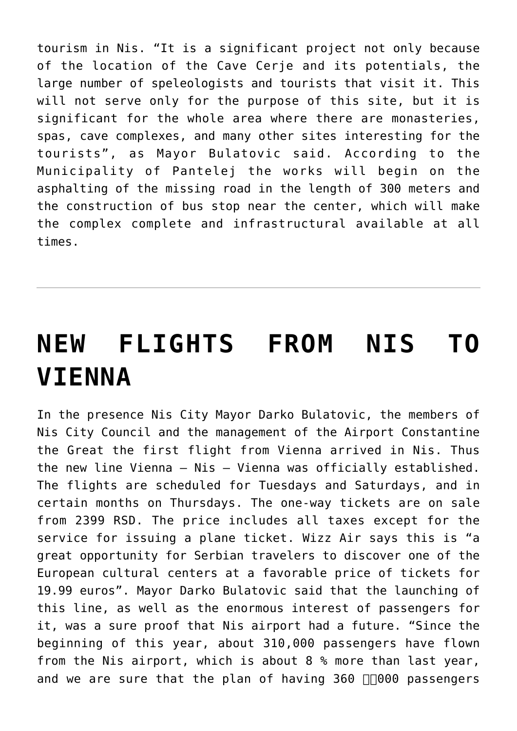tourism in Nis. "It is a significant project not only because of the location of the Cave Cerje and its potentials, the large number of speleologists and tourists that visit it. This will not serve only for the purpose of this site, but it is significant for the whole area where there are monasteries, spas, cave complexes, and many other sites interesting for the tourists", as Mayor Bulatovic said. According to the Municipality of Pantelej the works will begin on the asphalting of the missing road in the length of 300 meters and the construction of bus stop near the center, which will make the complex complete and infrastructural available at all times.

# **[NEW FLIGHTS FROM NIS TO](https://www.gu.ni.rs/2018/11/17/new-flights-from-nis-to-vienna/) [VIENNA](https://www.gu.ni.rs/2018/11/17/new-flights-from-nis-to-vienna/)**

In the presence Nis City Mayor Darko Bulatovic, the members of Nis City Council and the management of the Airport Constantine the Great the first flight from Vienna arrived in Nis. Thus the new line Vienna – Nis – Vienna was officially established. The flights are scheduled for Tuesdays and Saturdays, and in certain months on Thursdays. The one-way tickets are on sale from 2399 RSD. The price includes all taxes except for the service for issuing a plane ticket. Wizz Air says this is "a great opportunity for Serbian travelers to discover one of the European cultural centers at a favorable price of tickets for 19.99 euros". Mayor Darko Bulatovic said that the launching of this line, as well as the enormous interest of passengers for it, was a sure proof that Nis airport had a future. "Since the beginning of this year, about 310,000 passengers have flown from the Nis airport, which is about 8 % more than last year, and we are sure that the plan of having  $360$   $\Box$ 000 passengers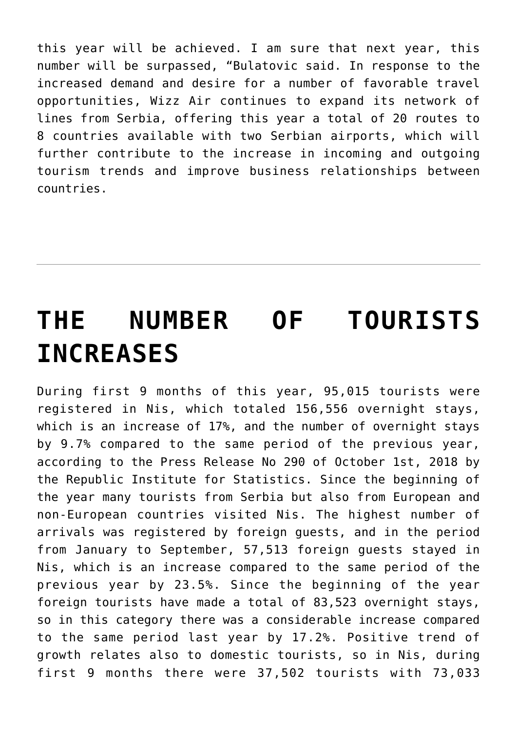this year will be achieved. I am sure that next year, this number will be surpassed, "Bulatovic said. In response to the increased demand and desire for a number of favorable travel opportunities, Wizz Air continues to expand its network of lines from Serbia, offering this year a total of 20 routes to 8 countries available with two Serbian airports, which will further contribute to the increase in incoming and outgoing tourism trends and improve business relationships between countries.

# **[THE NUMBER OF TOURISTS](https://www.gu.ni.rs/2018/11/02/the-number-of-tourists-increases/) [INCREASES](https://www.gu.ni.rs/2018/11/02/the-number-of-tourists-increases/)**

During first 9 months of this year, 95,015 tourists were registered in Nis, which totaled 156,556 overnight stays, which is an increase of 17%, and the number of overnight stays by 9.7% compared to the same period of the previous year, according to the Press Release No 290 of October 1st, 2018 by the Republic Institute for Statistics. Since the beginning of the year many tourists from Serbia but also from European and non-European countries visited Nis. The highest number of arrivals was registered by foreign guests, and in the period from January to September, 57,513 foreign guests stayed in Nis, which is an increase compared to the same period of the previous year by 23.5%. Since the beginning of the year foreign tourists have made a total of 83,523 overnight stays, so in this category there was a considerable increase compared to the same period last year by 17.2%. Positive trend of growth relates also to domestic tourists, so in Nis, during first 9 months there were 37,502 tourists with 73,033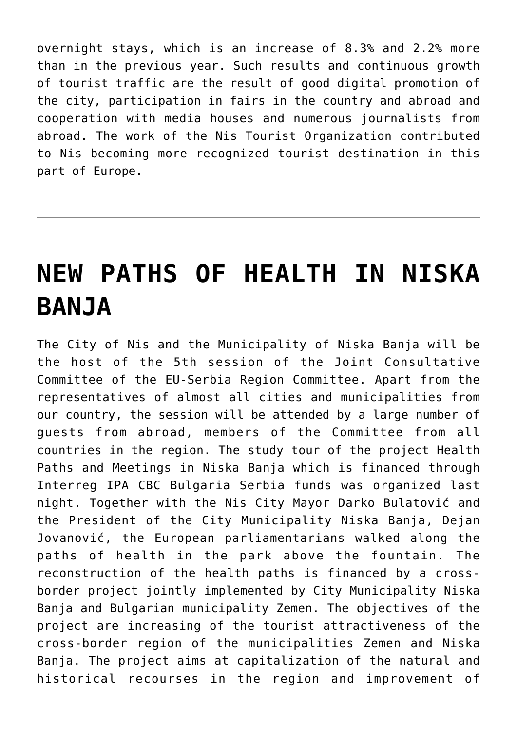overnight stays, which is an increase of 8.3% and 2.2% more than in the previous year. Such results and continuous growth of tourist traffic are the result of good digital promotion of the city, participation in fairs in the country and abroad and cooperation with media houses and numerous journalists from abroad. The work of the Nis Tourist Organization contributed to Nis becoming more recognized tourist destination in this part of Europe.

#### **[NEW PATHS OF HEALTH IN NISKA](https://www.gu.ni.rs/2018/10/17/new-paths-of-health-in-niska-banja/) [BANJA](https://www.gu.ni.rs/2018/10/17/new-paths-of-health-in-niska-banja/)**

The City of Nis and the Municipality of Niska Banja will be the host of the 5th session of the Joint Consultative Committee of the EU-Serbia Region Committee. Apart from the representatives of almost all cities and municipalities from our country, the session will be attended by a large number of guests from abroad, members of the Committee from all countries in the region. The study tour of the project Health Paths and Meetings in Niska Banja which is financed through Interreg IPA CBC Bulgaria Serbia funds was organized last night. Together with the Nis City Mayor Darko Bulatović and the President of the City Municipality Niska Banja, Dejan Jovanović, the European parliamentarians walked along the paths of health in the park above the fountain. The reconstruction of the health paths is financed by a crossborder project jointly implemented by City Municipality Niska Banja and Bulgarian municipality Zemen. The objectives of the project are increasing of the tourist attractiveness of the cross-border region of the municipalities Zemen and Niska Banja. The project aims at capitalization of the natural and historical recourses in the region and improvement of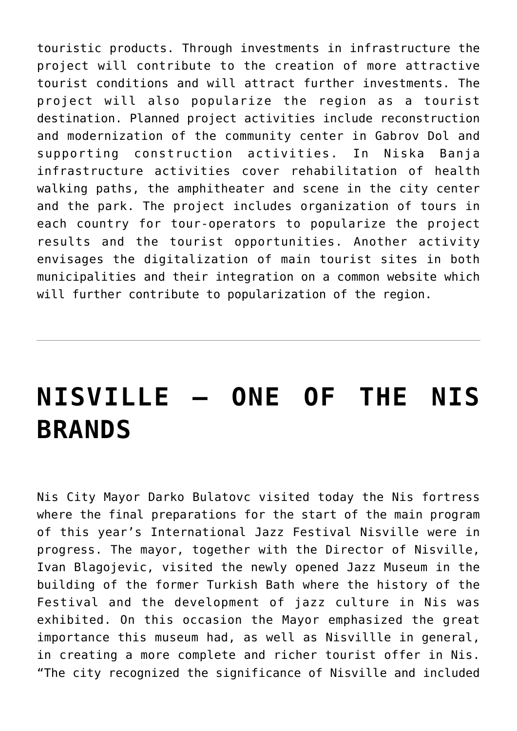touristic products. Through investments in infrastructure the project will contribute to the creation of more attractive tourist conditions and will attract further investments. The project will also popularize the region as a tourist destination. Planned project activities include reconstruction and modernization of the community center in Gabrov Dol and supporting construction activities. In Niska Banja infrastructure activities cover rehabilitation of health walking paths, the amphitheater and scene in the city center and the park. The project includes organization of tours in each country for tour-operators to popularize the project results and the tourist opportunities. Another activity envisages the digitalization of main tourist sites in both municipalities and their integration on a common website which will further contribute to popularization of the region.

## **[NISVILLE – ONE OF THE NIS](https://www.gu.ni.rs/2018/08/07/nisville-one-of-the-nis-brands/) [BRANDS](https://www.gu.ni.rs/2018/08/07/nisville-one-of-the-nis-brands/)**

Nis City Mayor Darko Bulatovc visited today the Nis fortress where the final preparations for the start of the main program of this year's International Jazz Festival Nisville were in progress. The mayor, together with the Director of Nisville, Ivan Blagojevic, visited the newly opened Jazz Museum in the building of the former Turkish Bath where the history of the Festival and the development of jazz culture in Nis was exhibited. On this occasion the Mayor emphasized the great importance this museum had, as well as Nisvillle in general, in creating a more complete and richer tourist offer in Nis. "The city recognized the significance of Nisville and included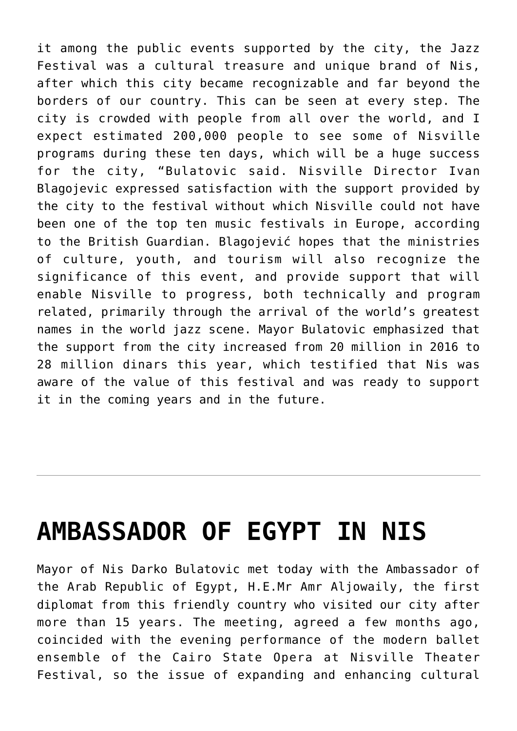it among the public events supported by the city, the Jazz Festival was a cultural treasure and unique brand of Nis, after which this city became recognizable and far beyond the borders of our country. This can be seen at every step. The city is crowded with people from all over the world, and I expect estimated 200,000 people to see some of Nisville programs during these ten days, which will be a huge success for the city, "Bulatovic said. Nisville Director Ivan Blagojevic expressed satisfaction with the support provided by the city to the festival without which Nisville could not have been one of the top ten music festivals in Europe, according to the British Guardian. Blagojević hopes that the ministries of culture, youth, and tourism will also recognize the significance of this event, and provide support that will enable Nisville to progress, both technically and program related, primarily through the arrival of the world's greatest names in the world jazz scene. Mayor Bulatovic emphasized that the support from the city increased from 20 million in 2016 to 28 million dinars this year, which testified that Nis was aware of the value of this festival and was ready to support it in the coming years and in the future.

#### **[AMBASSADOR OF EGYPT IN NIS](https://www.gu.ni.rs/2018/08/03/ambassador-of-egypt-in-nis/)**

Mayor of Nis Darko Bulatovic met today with the Ambassador of the Arab Republic of Egypt, H.E.Mr Amr Aljowaily, the first diplomat from this friendly country who visited our city after more than 15 years. The meeting, agreed a few months ago, coincided with the evening performance of the modern ballet ensemble of the Cairo State Opera at Nisville Theater Festival, so the issue of expanding and enhancing cultural